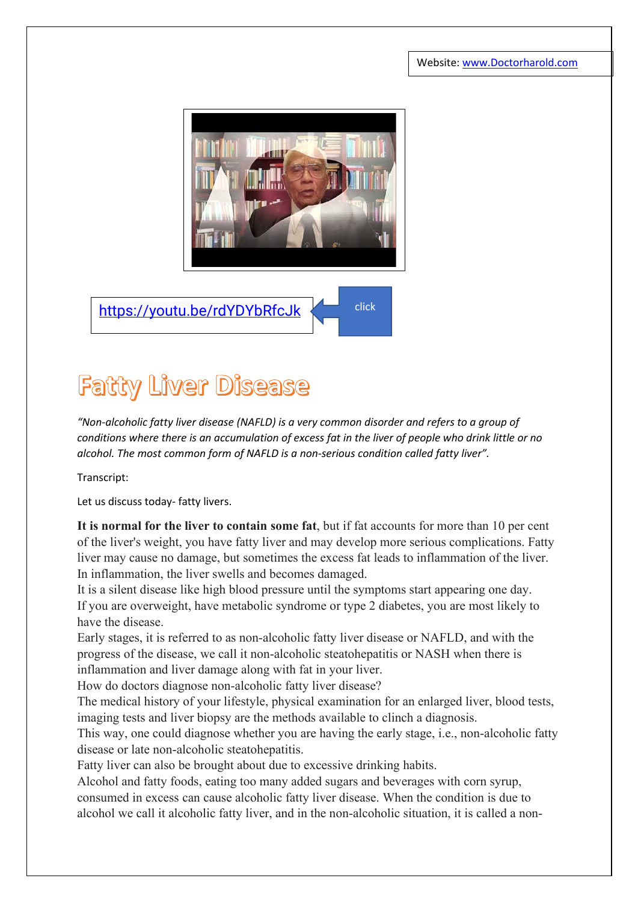Website[: www.Doctorharold.com](http://www.doctorharold.com/)



<https://youtu.be/rdYDYbRfcJk>

## **Fatty Liver Disease**

*"Non-alcoholic fatty liver disease (NAFLD) is a very common disorder and refers to a group of conditions where there is an accumulation of excess fat in the liver of people who drink little or no alcohol. The most common form of NAFLD is a non-serious condition called fatty liver".*

Transcript:

Let us discuss today- fatty livers.

**It is normal for the liver to contain some fat**, but if fat accounts for more than 10 per cent of the liver's weight, you have fatty liver and may develop more serious complications. Fatty liver may cause no damage, but sometimes the excess fat leads to inflammation of the liver. In inflammation, the liver swells and becomes damaged.

It is a silent disease like high blood pressure until the symptoms start appearing one day. If you are overweight, have metabolic syndrome or type 2 diabetes, you are most likely to have the disease.

Early stages, it is referred to as non-alcoholic fatty liver disease or NAFLD, and with the progress of the disease, we call it non-alcoholic steatohepatitis or NASH when there is inflammation and liver damage along with fat in your liver.

How do doctors diagnose non-alcoholic fatty liver disease?

The medical history of your lifestyle, physical examination for an enlarged liver, blood tests, imaging tests and liver biopsy are the methods available to clinch a diagnosis.

This way, one could diagnose whether you are having the early stage, i.e., non-alcoholic fatty disease or late non-alcoholic steatohepatitis.

Fatty liver can also be brought about due to excessive drinking habits.

Alcohol and fatty foods, eating too many added sugars and beverages with corn syrup, consumed in excess can cause alcoholic fatty liver disease. When the condition is due to alcohol we call it alcoholic fatty liver, and in the non-alcoholic situation, it is called a non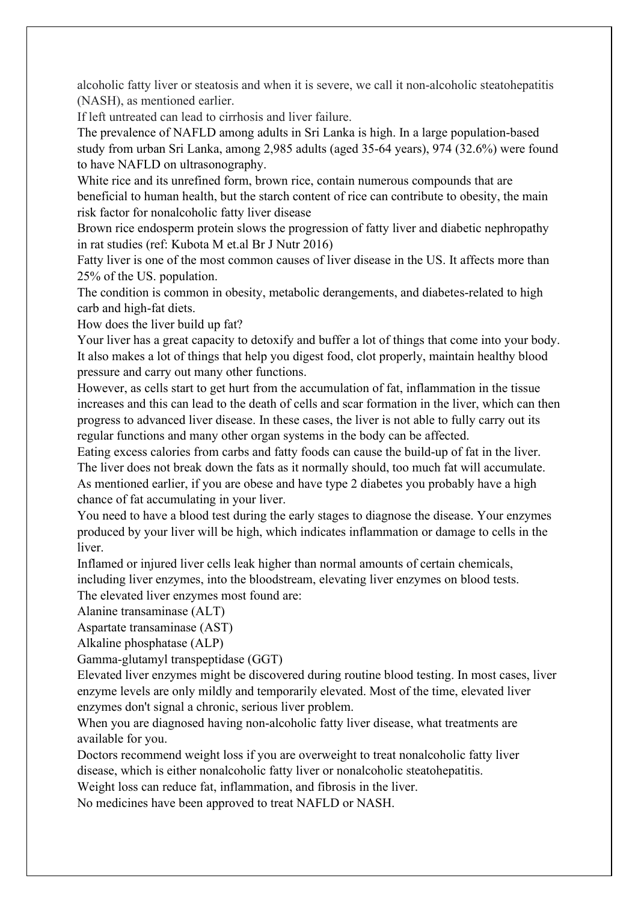alcoholic fatty liver or steatosis and when it is severe, we call it non-alcoholic steatohepatitis (NASH), as mentioned earlier.

If left untreated can lead to cirrhosis and liver failure.

The prevalence of NAFLD among adults in Sri Lanka is high. In a large population-based study from urban Sri Lanka, among 2,985 adults (aged 35-64 years), 974 (32.6%) were found to have NAFLD on ultrasonography.

White rice and its unrefined form, brown rice, contain numerous compounds that are beneficial to human health, but the starch content of rice can contribute to obesity, the main risk factor for nonalcoholic fatty liver disease

Brown rice endosperm protein slows the progression of fatty liver and diabetic nephropathy in rat studies (ref: Kubota M et.al Br J Nutr 2016)

Fatty liver is one of the most common causes of liver disease in the US. It affects more than 25% of the US. population.

The condition is common in obesity, metabolic derangements, and diabetes-related to high carb and high-fat diets.

How does the liver build up fat?

Your liver has a great capacity to detoxify and buffer a lot of things that come into your body. It also makes a lot of things that help you digest food, clot properly, maintain healthy blood pressure and carry out many other functions.

However, as cells start to get hurt from the accumulation of fat, inflammation in the tissue increases and this can lead to the death of cells and scar formation in the liver, which can then progress to advanced liver disease. In these cases, the liver is not able to fully carry out its regular functions and many other organ systems in the body can be affected.

Eating excess calories from carbs and fatty foods can cause the build-up of fat in the liver. The liver does not break down the fats as it normally should, too much fat will accumulate. As mentioned earlier, if you are obese and have type 2 diabetes you probably have a high chance of fat accumulating in your liver.

You need to have a blood test during the early stages to diagnose the disease. Your enzymes produced by your liver will be high, which indicates inflammation or damage to cells in the liver.

Inflamed or injured liver cells leak higher than normal amounts of certain chemicals, including liver enzymes, into the bloodstream, elevating liver enzymes on blood tests.

The elevated liver enzymes most found are:

Alanine transaminase (ALT)

Aspartate transaminase (AST)

Alkaline phosphatase (ALP)

Gamma-glutamyl transpeptidase (GGT)

Elevated liver enzymes might be discovered during routine blood testing. In most cases, liver enzyme levels are only mildly and temporarily elevated. Most of the time, elevated liver enzymes don't signal a chronic, serious liver problem.

When you are diagnosed having non-alcoholic fatty liver disease, what treatments are available for you.

Doctors recommend weight loss if you are overweight to treat nonalcoholic fatty liver disease, which is either nonalcoholic fatty liver or nonalcoholic steatohepatitis.

Weight loss can reduce fat, inflammation, and fibrosis in the liver.

No medicines have been approved to treat NAFLD or NASH.